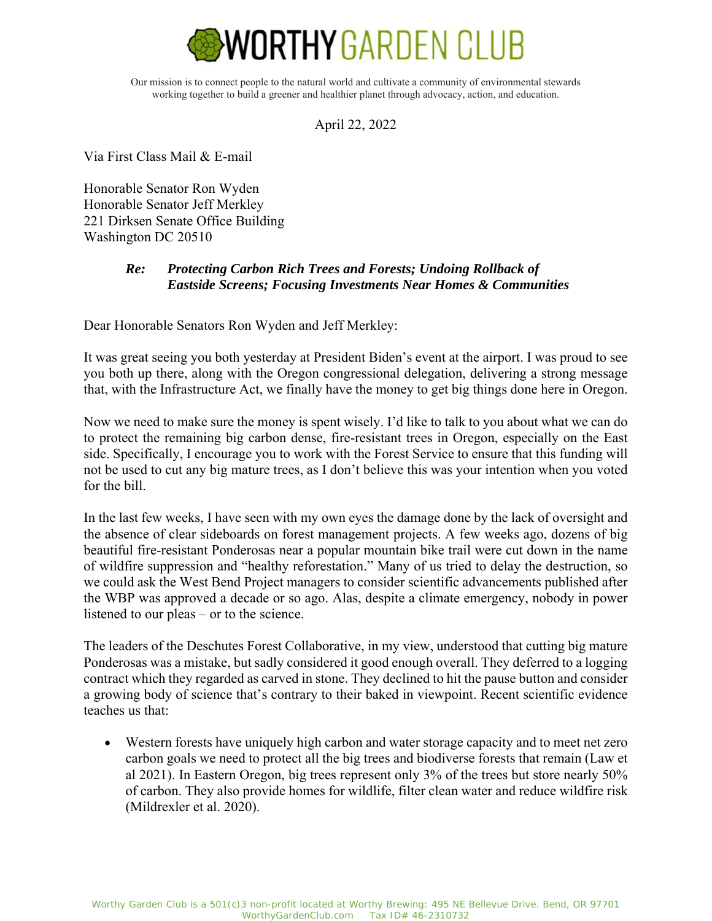

Our mission is to connect people to the natural world and cultivate a community of environmental stewards working together to build a greener and healthier planet through advocacy, action, and education.

April 22, 2022

Via First Class Mail & E-mail

Honorable Senator Ron Wyden Honorable Senator Jeff Merkley 221 Dirksen Senate Office Building Washington DC 20510

## *Re: Protecting Carbon Rich Trees and Forests; Undoing Rollback of Eastside Screens; Focusing Investments Near Homes & Communities*

Dear Honorable Senators Ron Wyden and Jeff Merkley:

It was great seeing you both yesterday at President Biden's event at the airport. I was proud to see you both up there, along with the Oregon congressional delegation, delivering a strong message that, with the Infrastructure Act, we finally have the money to get big things done here in Oregon.

Now we need to make sure the money is spent wisely. I'd like to talk to you about what we can do to protect the remaining big carbon dense, fire-resistant trees in Oregon, especially on the East side. Specifically, I encourage you to work with the Forest Service to ensure that this funding will not be used to cut any big mature trees, as I don't believe this was your intention when you voted for the bill.

In the last few weeks, I have seen with my own eyes the damage done by the lack of oversight and the absence of clear sideboards on forest management projects. A few weeks ago, dozens of big beautiful fire-resistant Ponderosas near a popular mountain bike trail were cut down in the name of wildfire suppression and "healthy reforestation." Many of us tried to delay the destruction, so we could ask the West Bend Project managers to consider scientific advancements published after the WBP was approved a decade or so ago. Alas, despite a climate emergency, nobody in power listened to our pleas – or to the science.

The leaders of the Deschutes Forest Collaborative, in my view, understood that cutting big mature Ponderosas was a mistake, but sadly considered it good enough overall. They deferred to a logging contract which they regarded as carved in stone. They declined to hit the pause button and consider a growing body of science that's contrary to their baked in viewpoint. Recent scientific evidence teaches us that:

 Western forests have uniquely high carbon and water storage capacity and to meet net zero carbon goals we need to protect all the big trees and biodiverse forests that remain (Law et al 2021). In Eastern Oregon, big trees represent only 3% of the trees but store nearly 50% of carbon. They also provide homes for wildlife, filter clean water and reduce wildfire risk (Mildrexler et al. 2020).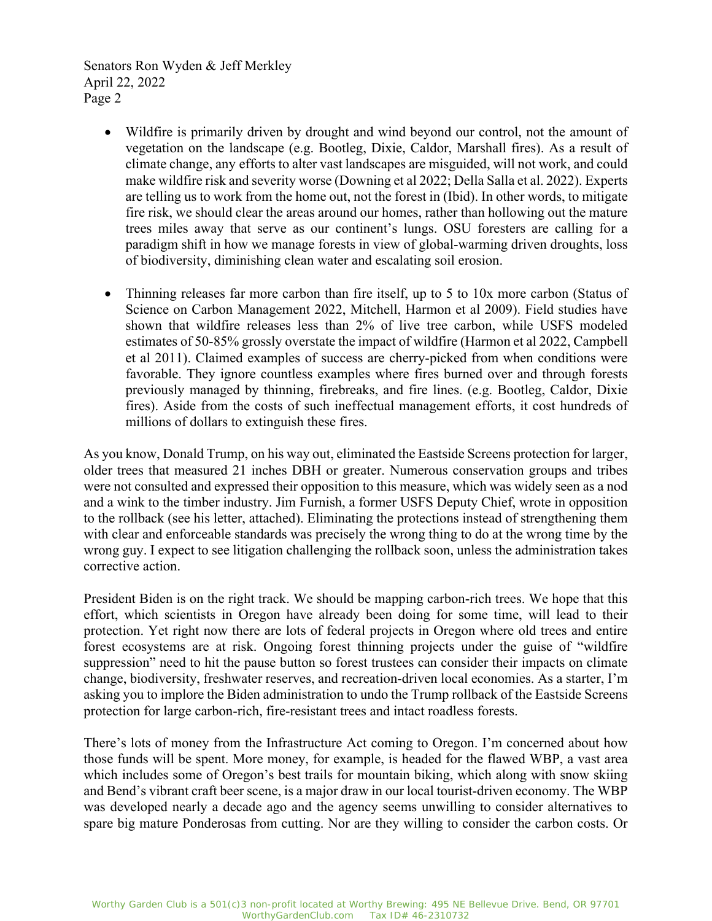Senators Ron Wyden & Jeff Merkley April 22, 2022 Page 2

- Wildfire is primarily driven by drought and wind beyond our control, not the amount of vegetation on the landscape (e.g. Bootleg, Dixie, Caldor, Marshall fires). As a result of climate change, any efforts to alter vast landscapes are misguided, will not work, and could make wildfire risk and severity worse (Downing et al 2022; Della Salla et al. 2022). Experts are telling us to work from the home out, not the forest in (Ibid). In other words, to mitigate fire risk, we should clear the areas around our homes, rather than hollowing out the mature trees miles away that serve as our continent's lungs. OSU foresters are calling for a paradigm shift in how we manage forests in view of global-warming driven droughts, loss of biodiversity, diminishing clean water and escalating soil erosion.
- Thinning releases far more carbon than fire itself, up to 5 to 10x more carbon (Status of Science on Carbon Management 2022, Mitchell, Harmon et al 2009). Field studies have shown that wildfire releases less than 2% of live tree carbon, while USFS modeled estimates of 50-85% grossly overstate the impact of wildfire (Harmon et al 2022, Campbell et al 2011). Claimed examples of success are cherry-picked from when conditions were favorable. They ignore countless examples where fires burned over and through forests previously managed by thinning, firebreaks, and fire lines. (e.g. Bootleg, Caldor, Dixie fires). Aside from the costs of such ineffectual management efforts, it cost hundreds of millions of dollars to extinguish these fires.

As you know, Donald Trump, on his way out, eliminated the Eastside Screens protection for larger, older trees that measured 21 inches DBH or greater. Numerous conservation groups and tribes were not consulted and expressed their opposition to this measure, which was widely seen as a nod and a wink to the timber industry. Jim Furnish, a former USFS Deputy Chief, wrote in opposition to the rollback (see his letter, attached). Eliminating the protections instead of strengthening them with clear and enforceable standards was precisely the wrong thing to do at the wrong time by the wrong guy. I expect to see litigation challenging the rollback soon, unless the administration takes corrective action.

President Biden is on the right track. We should be mapping carbon-rich trees. We hope that this effort, which scientists in Oregon have already been doing for some time, will lead to their protection. Yet right now there are lots of federal projects in Oregon where old trees and entire forest ecosystems are at risk. Ongoing forest thinning projects under the guise of "wildfire suppression" need to hit the pause button so forest trustees can consider their impacts on climate change, biodiversity, freshwater reserves, and recreation-driven local economies. As a starter, I'm asking you to implore the Biden administration to undo the Trump rollback of the Eastside Screens protection for large carbon-rich, fire-resistant trees and intact roadless forests.

There's lots of money from the Infrastructure Act coming to Oregon. I'm concerned about how those funds will be spent. More money, for example, is headed for the flawed WBP, a vast area which includes some of Oregon's best trails for mountain biking, which along with snow skiing and Bend's vibrant craft beer scene, is a major draw in our local tourist-driven economy. The WBP was developed nearly a decade ago and the agency seems unwilling to consider alternatives to spare big mature Ponderosas from cutting. Nor are they willing to consider the carbon costs. Or